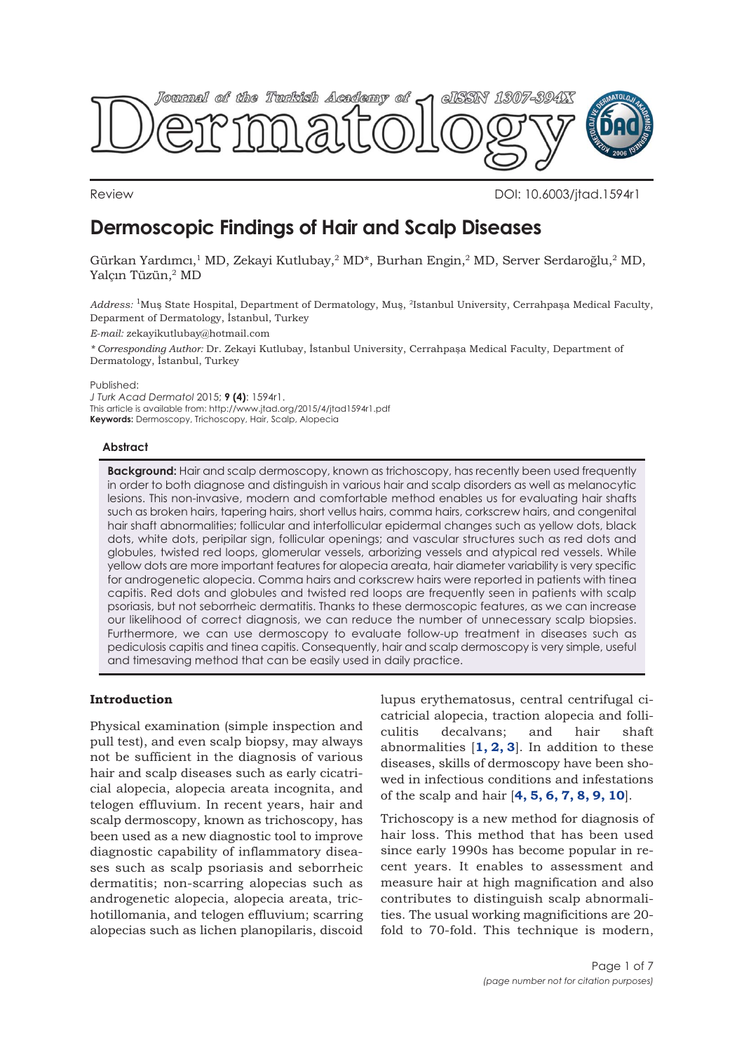

Review DOI: 10.6003/jtad.1594r1

# **Dermoscopic Findings of Hair and Scalp Diseases**

Gürkan Yardımcı,<sup>1</sup> MD, Zekayi Kutlubay,<sup>2</sup> MD\*, Burhan Engin,<sup>2</sup> MD, Server Serdaroğlu,<sup>2</sup> MD, Yalçın Tüzün,2 MD

*Address:* 1Muş State Hospital, Department of Dermatology, Muş, 2Istanbul University, Cerrahpaşa Medical Faculty, Deparment of Dermatology, İstanbul, Turkey

*E-mail:* zekayikutlubay@hotmail.com

*\* Corresponding Author:* Dr. Zekayi Kutlubay, İstanbul University, Cerrahpaşa Medical Faculty, Department of Dermatology, İstanbul, Turkey

Published:

*J Turk Acad Dermatol* 2015; **9 (4)**: 1594r1. This article is available from: http://www.jtad.org/2015/4/jtad1594r1.pdf **Keywords:** Dermoscopy, Trichoscopy, Hair, Scalp, Alopecia

# **Abstract**

**Background:** Hair and scalp dermoscopy, known as trichoscopy, has recently been used frequently in order to both diagnose and distinguish in various hair and scalp disorders as well as melanocytic lesions. This non-invasive, modern and comfortable method enables us for evaluating hair shafts such as broken hairs, tapering hairs, short vellus hairs, comma hairs, corkscrew hairs, and congenital hair shaft abnormalities; follicular and interfollicular epidermal changes such as yellow dots, black dots, white dots, peripilar sign, follicular openings; and vascular structures such as red dots and globules, twisted red loops, glomerular vessels, arborizing vessels and atypical red vessels. While yellow dots are more important features for alopecia areata, hair diameter variability is very specific for androgenetic alopecia. Comma hairs and corkscrew hairs were reported in patients with tinea capitis. Red dots and globules and twisted red loops are frequently seen in patients with scalp psoriasis, but not seborrheic dermatitis. Thanks to these dermoscopic features, as we can increase our likelihood of correct diagnosis, we can reduce the number of unnecessary scalp biopsies. Furthermore, we can use dermoscopy to evaluate follow-up treatment in diseases such as pediculosis capitis and tinea capitis. Consequently, hair and scalp dermoscopy is very simple, useful and timesaving method that can be easily used in daily practice.

# **Introduction**

Physical examination (simple inspection and pull test), and even scalp biopsy, may always not be sufficient in the diagnosis of various hair and scalp diseases such as early cicatricial alopecia, alopecia areata incognita, and telogen effluvium. In recent years, hair and scalp dermoscopy, known as trichoscopy, has been used as a new diagnostic tool to improve diagnostic capability of inflammatory diseases such as scalp psoriasis and seborrheic dermatitis; non-scarring alopecias such as androgenetic alopecia, alopecia areata, trichotillomania, and telogen effluvium; scarring alopecias such as lichen planopilaris, discoid

lupus erythematosus, central centrifugal cicatricial alopecia, traction alopecia and folliculitis decalvans; and hair shaft abnormalities [**[1, 2, 3](#page-5-0)**]. In addition to these diseases, skills of dermoscopy have been showed in infectious conditions and infestations of the scalp and hair [**[4, 5, 6, 7, 8, 9, 10](#page-5-0)**].

Trichoscopy is a new method for diagnosis of hair loss. This method that has been used since early 1990s has become popular in recent years. It enables to assessment and measure hair at high magnification and also contributes to distinguish scalp abnormalities. The usual working magnificitions are 20 fold to 70-fold. This technique is modern,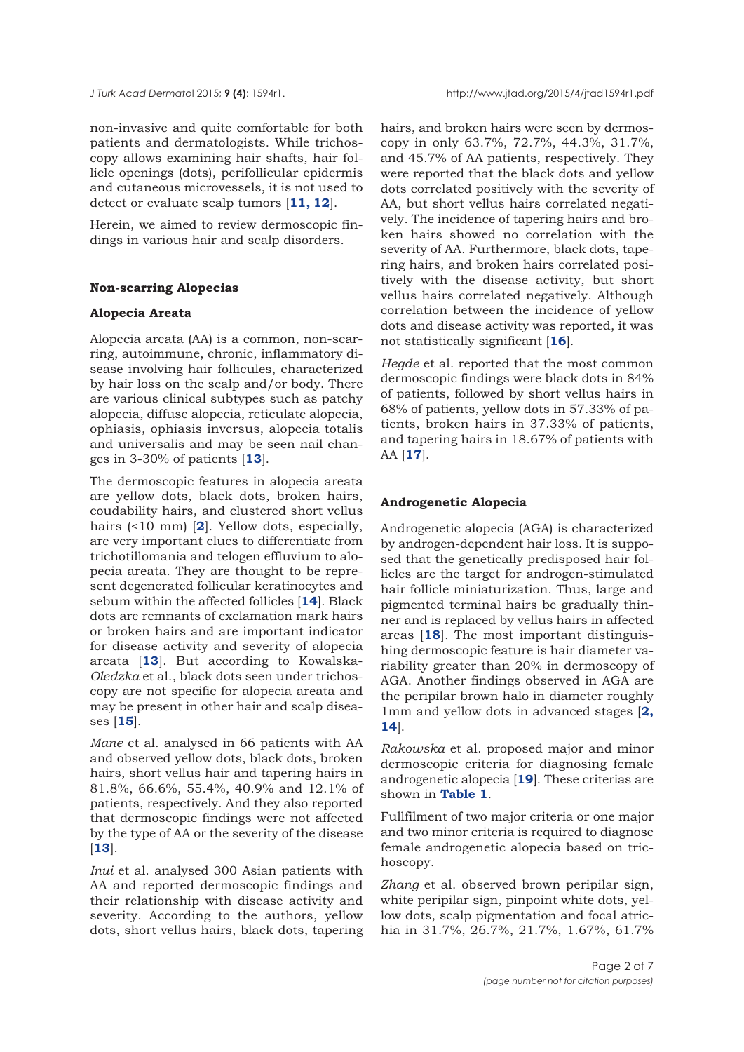non-invasive and quite comfortable for both patients and dermatologists. While trichoscopy allows examining hair shafts, hair follicle openings (dots), perifollicular epidermis and cutaneous microvessels, it is not used to detect or evaluate scalp tumors [**[11, 12](#page-5-0)**].

Herein, we aimed to review dermoscopic findings in various hair and scalp disorders.

## **Non-scarring Alopecias**

#### **Alopecia Areata**

Alopecia areata (AA) is a common, non-scarring, autoimmune, chronic, inflammatory disease involving hair follicules, characterized by hair loss on the scalp and/or body. There are various clinical subtypes such as patchy alopecia, diffuse alopecia, reticulate alopecia, ophiasis, ophiasis inversus, alopecia totalis and universalis and may be seen nail changes in 3-30% of patients [**[13](#page-5-0)**].

The dermoscopic features in alopecia areata are yellow dots, black dots, broken hairs, coudability hairs, and clustered short vellus hairs (<10 mm) [**[2](#page-5-0)**]. Yellow dots, especially, are very important clues to differentiate from trichotillomania and telogen effluvium to alopecia areata. They are thought to be represent degenerated follicular keratinocytes and sebum within the affected follicles [**[14](#page-5-0)**]. Black dots are remnants of exclamation mark hairs or broken hairs and are important indicator for disease activity and severity of alopecia areata [**[13](#page-5-0)**]. But according to Kowalska-*Oledzka* et al., black dots seen under trichoscopy are not specific for alopecia areata and may be present in other hair and scalp diseases [**[15](#page-5-0)**].

*Mane* et al. analysed in 66 patients with AA and observed yellow dots, black dots, broken hairs, short vellus hair and tapering hairs in 81.8%, 66.6%, 55.4%, 40.9% and 12.1% of patients, respectively. And they also reported that dermoscopic findings were not affected by the type of AA or the severity of the disease [**[13](#page-5-0)**].

*Inui* et al. analysed 300 Asian patients with AA and reported dermoscopic findings and their relationship with disease activity and severity. According to the authors, yellow dots, short vellus hairs, black dots, tapering hairs, and broken hairs were seen by dermoscopy in only 63.7%, 72.7%, 44.3%, 31.7%, and 45.7% of AA patients, respectively. They were reported that the black dots and yellow dots correlated positively with the severity of AA, but short vellus hairs correlated negatively. The incidence of tapering hairs and broken hairs showed no correlation with the severity of AA. Furthermore, black dots, tapering hairs, and broken hairs correlated positively with the disease activity, but short vellus hairs correlated negatively. Although correlation between the incidence of yellow dots and disease activity was reported, it was not statistically significant [**[16](#page-5-0)**].

*Hegde* et al. reported that the most common dermoscopic findings were black dots in 84% of patients, followed by short vellus hairs in 68% of patients, yellow dots in 57.33% of patients, broken hairs in 37.33% of patients, and tapering hairs in 18.67% of patients with AA [**[17](#page-5-0)**].

#### **Androgenetic Alopecia**

Androgenetic alopecia (AGA) is characterized by androgen-dependent hair loss. It is supposed that the genetically predisposed hair follicles are the target for androgen-stimulated hair follicle miniaturization. Thus, large and pigmented terminal hairs be gradually thinner and is replaced by vellus hairs in affected areas [**[18](#page-5-0)**]. The most important distinguishing dermoscopic feature is hair diameter variability greater than 20% in dermoscopy of AGA. Another findings observed in AGA are the peripilar brown halo in diameter roughly 1mm and yellow dots in advanced stages [**[2,](#page-5-0) [14](#page-5-0)**].

*Rakowska* et al. proposed major and minor dermoscopic criteria for diagnosing female androgenetic alopecia [**[19](#page-5-0)**]. These criterias are shown in **[Table 1](#page-2-0)**.

Fullfilment of two major criteria or one major and two minor criteria is required to diagnose female androgenetic alopecia based on trichoscopy.

*Zhang* et al. observed brown peripilar sign, white peripilar sign, pinpoint white dots, yellow dots, scalp pigmentation and focal atrichia in 31.7%, 26.7%, 21.7%, 1.67%, 61.7%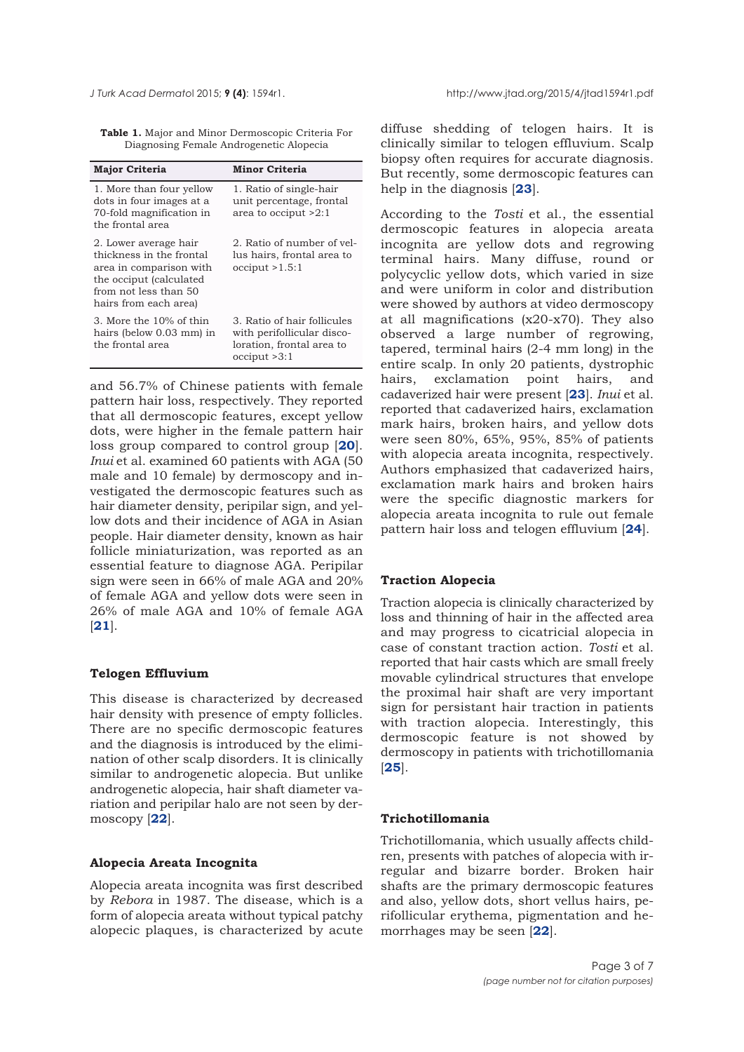<span id="page-2-0"></span>

**Table 1.** Major and Minor Dermoscopic Criteria For Diagnosing Female Androgenetic Alopecia

| <b>Major Criteria</b>                                                                                                                                     | <b>Minor Criteria</b>                                                                                  |
|-----------------------------------------------------------------------------------------------------------------------------------------------------------|--------------------------------------------------------------------------------------------------------|
| 1. More than four yellow<br>dots in four images at a<br>70-fold magnification in<br>the frontal area                                                      | 1. Ratio of single-hair<br>unit percentage, frontal<br>area to occiput >2:1                            |
| 2. Lower average hair<br>thickness in the frontal<br>area in comparison with<br>the occiput (calculated<br>from not less than 50<br>hairs from each area) | 2. Ratio of number of yel-<br>lus hairs, frontal area to<br>occiput > 1.5:1                            |
| 3. More the 10% of thin<br>hairs (below 0.03 mm) in<br>the frontal area                                                                                   | 3. Ratio of hair follicules<br>with perifollicular disco-<br>loration, frontal area to<br>occiput >3:1 |

and 56.7% of Chinese patients with female pattern hair loss, respectively. They reported that all dermoscopic features, except yellow dots, were higher in the female pattern hair loss group compared to control group [**[20](#page-5-0)**]. *Inui* et al. examined 60 patients with AGA (50 male and 10 female) by dermoscopy and investigated the dermoscopic features such as hair diameter density, peripilar sign, and yellow dots and their incidence of AGA in Asian people. Hair diameter density, known as hair follicle miniaturization, was reported as an essential feature to diagnose AGA. Peripilar sign were seen in 66% of male AGA and 20% of female AGA and yellow dots were seen in 26% of male AGA and 10% of female AGA [**[21](#page-5-0)**].

#### **Telogen Effluvium**

This disease is characterized by decreased hair density with presence of empty follicles. There are no specific dermoscopic features and the diagnosis is introduced by the elimination of other scalp disorders. It is clinically similar to androgenetic alopecia. But unlike androgenetic alopecia, hair shaft diameter variation and peripilar halo are not seen by dermoscopy [**[22](#page-5-0)**].

#### **Alopecia Areata Incognita**

Alopecia areata incognita was first described by *Rebora* in 1987. The disease, which is a form of alopecia areata without typical patchy alopecic plaques, is characterized by acute

diffuse shedding of telogen hairs. It is clinically similar to telogen effluvium. Scalp biopsy often requires for accurate diagnosis. But recently, some dermoscopic features can help in the diagnosis [**[23](#page-5-0)**].

According to the *Tosti* et al., the essential dermoscopic features in alopecia areata incognita are yellow dots and regrowing terminal hairs. Many diffuse, round or polycyclic yellow dots, which varied in size and were uniform in color and distribution were showed by authors at video dermoscopy at all magnifications (x20-x70). They also observed a large number of regrowing, tapered, terminal hairs (2-4 mm long) in the entire scalp. In only 20 patients, dystrophic hairs, exclamation point hairs, and cadaverized hair were present [**[23](#page-5-0)**]. *Inui* et al. reported that cadaverized hairs, exclamation mark hairs, broken hairs, and yellow dots were seen 80%, 65%, 95%, 85% of patients with alopecia areata incognita, respectively. Authors emphasized that cadaverized hairs, exclamation mark hairs and broken hairs were the specific diagnostic markers for alopecia areata incognita to rule out female pattern hair loss and telogen effluvium [**[24](#page-6-0)**].

## **Traction Alopecia**

Traction alopecia is clinically characterized by loss and thinning of hair in the affected area and may progress to cicatricial alopecia in case of constant traction action. *Tosti* et al. reported that hair casts which are small freely movable cylindrical structures that envelope the proximal hair shaft are very important sign for persistant hair traction in patients with traction alopecia. Interestingly, this dermoscopic feature is not showed by dermoscopy in patients with trichotillomania [**[25](#page-6-0)**].

# **Trichotillomania**

Trichotillomania, which usually affects children, presents with patches of alopecia with irregular and bizarre border. Broken hair shafts are the primary dermoscopic features and also, yellow dots, short vellus hairs, perifollicular erythema, pigmentation and hemorrhages may be seen [**[22](#page-5-0)**].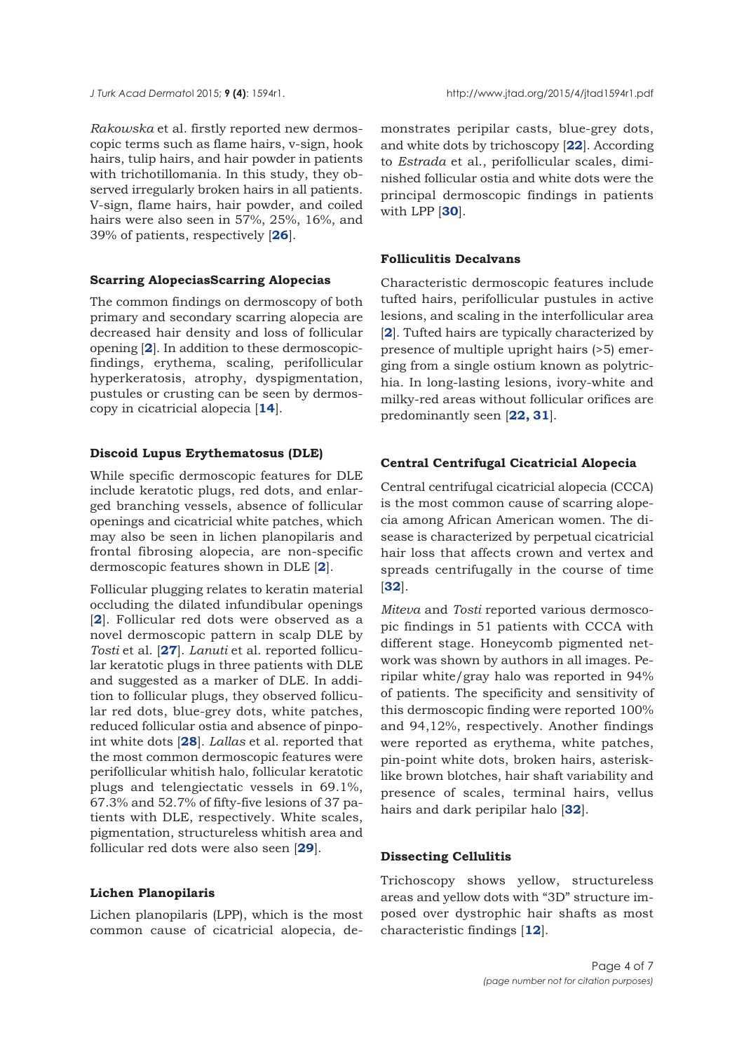*Rakowska* et al. firstly reported new dermoscopic terms such as flame hairs, v-sign, hook hairs, tulip hairs, and hair powder in patients with trichotillomania. In this study, they observed irregularly broken hairs in all patients. V-sign, flame hairs, hair powder, and coiled hairs were also seen in 57%, 25%, 16%, and 39% of patients, respectively [**[26](#page-6-0)**].

## **Scarring AlopeciasScarring Alopecias**

The common findings on dermoscopy of both primary and secondary scarring alopecia are decreased hair density and loss of follicular opening [**[2](#page-5-0)**]. In addition to these dermoscopicfindings, erythema, scaling, perifollicular hyperkeratosis, atrophy, dyspigmentation, pustules or crusting can be seen by dermoscopy in cicatricial alopecia [**[14](#page-5-0)**].

## **Discoid Lupus Erythematosus (DLE)**

While specific dermoscopic features for DLE include keratotic plugs, red dots, and enlarged branching vessels, absence of follicular openings and cicatricial white patches, which may also be seen in lichen planopilaris and frontal fibrosing alopecia, are non-specific dermoscopic features shown in DLE [**[2](#page-5-0)**].

Follicular plugging relates to keratin material occluding the dilated infundibular openings [**[2](#page-5-0)**]. Follicular red dots were observed as a novel dermoscopic pattern in scalp DLE by *Tosti* et al. [**[27](#page-6-0)**]. *Lanuti* et al. reported follicular keratotic plugs in three patients with DLE and suggested as a marker of DLE. In addition to follicular plugs, they observed follicular red dots, blue-grey dots, white patches, reduced follicular ostia and absence of pinpoint white dots [**[28](#page-6-0)**]. *Lallas* et al. reported that the most common dermoscopic features were perifollicular whitish halo, follicular keratotic plugs and telengiectatic vessels in 69.1%, 67.3% and 52.7% of fifty-five lesions of 37 patients with DLE, respectively. White scales, pigmentation, structureless whitish area and follicular red dots were also seen [**[29](#page-6-0)**].

# **Lichen Planopilaris**

Lichen planopilaris (LPP), which is the most common cause of cicatricial alopecia, de-

monstrates peripilar casts, blue-grey dots, and white dots by trichoscopy [**[22](#page-5-0)**]. According to *Estrada* et al., perifollicular scales, diminished follicular ostia and white dots were the principal dermoscopic findings in patients with LPP [**[30](#page-6-0)**].

#### **Folliculitis Decalvans**

Characteristic dermoscopic features include tufted hairs, perifollicular pustules in active lesions, and scaling in the interfollicular area [**[2](#page-5-0)**]. Tufted hairs are typically characterized by presence of multiple upright hairs (>5) emerging from a single ostium known as polytrichia. In long-lasting lesions, ivory-white and milky-red areas without follicular orifices are predominantly seen [**[22,](#page-5-0) [31](#page-6-0)**].

# **Central Centrifugal Cicatricial Alopecia**

Central centrifugal cicatricial alopecia (CCCA) is the most common cause of scarring alopecia among African American women. The disease is characterized by perpetual cicatricial hair loss that affects crown and vertex and spreads centrifugally in the course of time [**[32](#page-6-0)**].

*Miteva* and *Tosti* reported various dermoscopic findings in 51 patients with CCCA with different stage. Honeycomb pigmented network was shown by authors in all images. Peripilar white/gray halo was reported in 94% of patients. The specificity and sensitivity of this dermoscopic finding were reported 100% and 94,12%, respectively. Another findings were reported as erythema, white patches, pin-point white dots, broken hairs, asterisklike brown blotches, hair shaft variability and presence of scales, terminal hairs, vellus hairs and dark peripilar halo [**[32](#page-6-0)**].

# **Dissecting Cellulitis**

Trichoscopy shows yellow, structureless areas and yellow dots with "3D" structure imposed over dystrophic hair shafts as most characteristic findings [**[12](#page-5-0)**].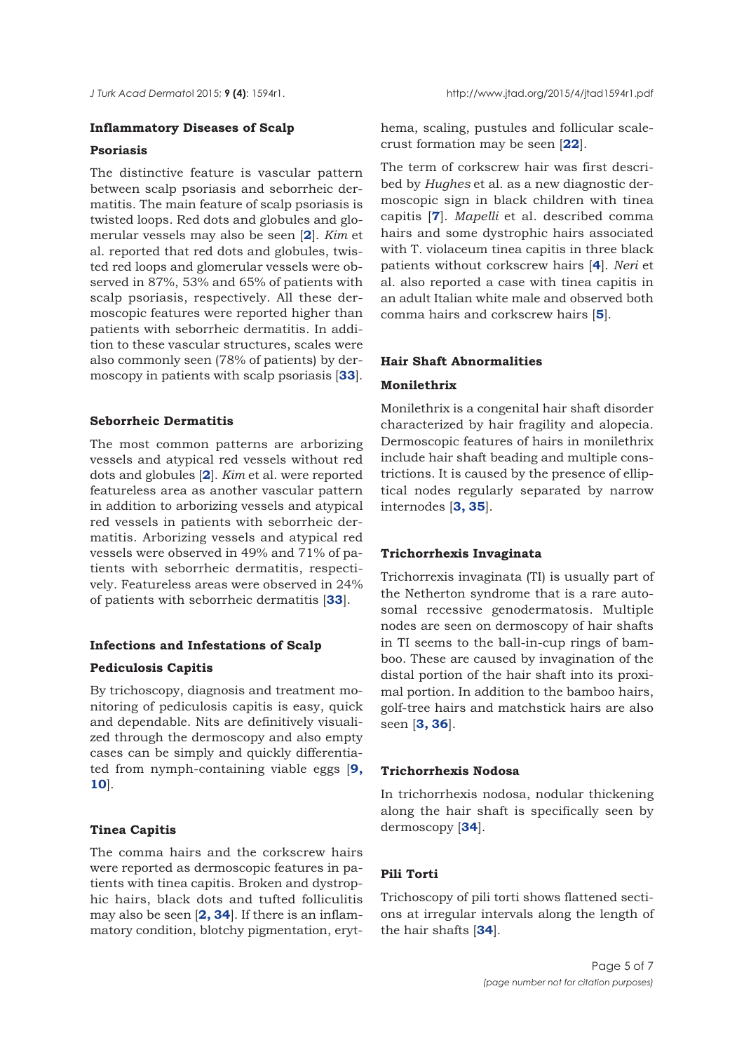# **Inflammatory Diseases of Scalp**

# **Psoriasis**

The distinctive feature is vascular pattern between scalp psoriasis and seborrheic dermatitis. The main feature of scalp psoriasis is twisted loops. Red dots and globules and glomerular vessels may also be seen [**[2](#page-5-0)**]. *Kim* et al. reported that red dots and globules, twisted red loops and glomerular vessels were observed in 87%, 53% and 65% of patients with scalp psoriasis, respectively. All these dermoscopic features were reported higher than patients with seborrheic dermatitis. In addition to these vascular structures, scales were also commonly seen (78% of patients) by dermoscopy in patients with scalp psoriasis [**[33](#page-6-0)**].

# **Seborrheic Dermatitis**

The most common patterns are arborizing vessels and atypical red vessels without red dots and globules [**[2](#page-5-0)**]. *Kim* et al. were reported featureless area as another vascular pattern in addition to arborizing vessels and atypical red vessels in patients with seborrheic dermatitis. Arborizing vessels and atypical red vessels were observed in 49% and 71% of patients with seborrheic dermatitis, respectively. Featureless areas were observed in 24% of patients with seborrheic dermatitis [**[33](#page-6-0)**].

## **Infections and Infestations of Scalp**

#### **Pediculosis Capitis**

By trichoscopy, diagnosis and treatment monitoring of pediculosis capitis is easy, quick and dependable. Nits are definitively visualized through the dermoscopy and also empty cases can be simply and quickly differentiated from nymph-containing viable eggs [**[9,](#page-5-0) [10](#page-5-0)**].

# **Tinea Capitis**

The comma hairs and the corkscrew hairs were reported as dermoscopic features in patients with tinea capitis. Broken and dystrophic hairs, black dots and tufted folliculitis may also be seen [**[2,](#page-5-0) [34](#page-6-0)**]. If there is an inflammatory condition, blotchy pigmentation, erythema, scaling, pustules and follicular scalecrust formation may be seen [**[22](#page-5-0)**].

The term of corkscrew hair was first described by *Hughes* et al. as a new diagnostic dermoscopic sign in black children with tinea capitis [**[7](#page-5-0)**]. *Mapelli* et al. described comma hairs and some dystrophic hairs associated with T. violaceum tinea capitis in three black patients without corkscrew hairs [**[4](#page-5-0)**]. *Neri* et al. also reported a case with tinea capitis in an adult Italian white male and observed both comma hairs and corkscrew hairs [**[5](#page-5-0)**].

# **Hair Shaft Abnormalities**

#### **Monilethrix**

Monilethrix is a congenital hair shaft disorder characterized by hair fragility and alopecia. Dermoscopic features of hairs in monilethrix include hair shaft beading and multiple constrictions. It is caused by the presence of elliptical nodes regularly separated by narrow internodes [**[3,](#page-5-0) [35](#page-6-0)**].

## **Trichorrhexis Invaginata**

Trichorrexis invaginata (TI) is usually part of the Netherton syndrome that is a rare autosomal recessive genodermatosis. Multiple nodes are seen on dermoscopy of hair shafts in TI seems to the ball-in-cup rings of bamboo. These are caused by invagination of the distal portion of the hair shaft into its proximal portion. In addition to the bamboo hairs, golf-tree hairs and matchstick hairs are also seen [**[3,](#page-5-0) [36](#page-6-0)**].

# **Trichorrhexis Nodosa**

In trichorrhexis nodosa, nodular thickening along the hair shaft is specifically seen by dermoscopy [**[34](#page-6-0)**].

# **Pili Torti**

Trichoscopy of pili torti shows flattened sections at irregular intervals along the length of the hair shafts [**[34](#page-6-0)**].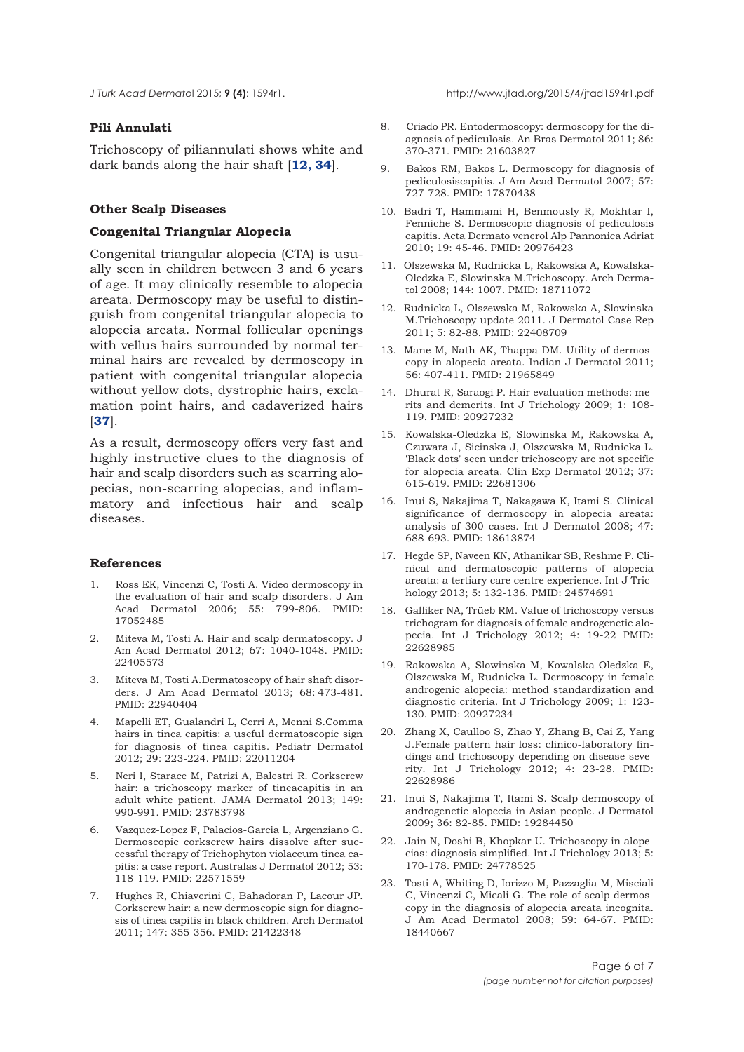<span id="page-5-0"></span>

# **Pili Annulati**

Trichoscopy of piliannulati shows white and dark bands along the hair shaft [**12, [34](#page-6-0)**].

#### **Other Scalp Diseases**

# **Congenital Triangular Alopecia**

Congenital triangular alopecia (CTA) is usually seen in children between 3 and 6 years of age. It may clinically resemble to alopecia areata. Dermoscopy may be useful to distinguish from congenital triangular alopecia to alopecia areata. Normal follicular openings with vellus hairs surrounded by normal terminal hairs are revealed by dermoscopy in patient with congenital triangular alopecia without yellow dots, dystrophic hairs, exclamation point hairs, and cadaverized hairs [**[37](#page-6-0)**].

As a result, dermoscopy offers very fast and highly instructive clues to the diagnosis of hair and scalp disorders such as scarring alopecias, non-scarring alopecias, and inflammatory and infectious hair and scalp diseases.

#### **References**

- 1. Ross EK, Vincenzi C, Tosti A. Video dermoscopy in the evaluation of hair and scalp disorders. J Am Acad Dermatol 2006; 55: 799-806. PMID: 17052485
- Miteva M, Tosti A. Hair and scalp dermatoscopy. J Am Acad Dermatol 2012; 67: 1040-1048. PMID: 22405573
- 3. Miteva M, Tosti A.Dermatoscopy of hair shaft disorders. J Am Acad Dermatol 2013; 68: 473-481. PMID: 22940404
- 4. Mapelli ET, Gualandri L, Cerri A, Menni S.Comma hairs in tinea capitis: a useful dermatoscopic sign for diagnosis of tinea capitis. Pediatr Dermatol 2012; 29: 223-224. PMID: 22011204
- 5. Neri I, Starace M, Patrizi A, Balestri R. Corkscrew hair: a trichoscopy marker of tineacapitis in an adult white patient. JAMA Dermatol 2013; 149: 990-991. PMID: 23783798
- 6. Vazquez-Lopez F, Palacios-Garcia L, Argenziano G. Dermoscopic corkscrew hairs dissolve after successful therapy of Trichophyton violaceum tinea capitis: a case report. Australas J Dermatol 2012; 53: 118-119. PMID: 22571559
- 7. Hughes R, Chiaverini C, Bahadoran P, Lacour JP. Corkscrew hair: a new dermoscopic sign for diagnosis of tinea capitis in black children. Arch Dermatol 2011; 147: 355-356. PMID: 21422348
- 8. Criado PR. Entodermoscopy: dermoscopy for the diagnosis of pediculosis. An Bras Dermatol 2011; 86: 370-371. PMID: 21603827
- 9. Bakos RM, Bakos L. Dermoscopy for diagnosis of pediculosiscapitis. J Am Acad Dermatol 2007; 57: 727-728. PMID: 17870438
- 10. Badri T, Hammami H, Benmously R, Mokhtar I, Fenniche S. Dermoscopic diagnosis of pediculosis capitis. Acta Dermato venerol Alp Pannonica Adriat 2010; 19: 45-46. PMID: 20976423
- 11. Olszewska M, Rudnicka L, Rakowska A, Kowalska-Oledzka E, Slowinska M.Trichoscopy. Arch Dermatol 2008; 144: 1007. PMID: 18711072
- 12. Rudnicka L, Olszewska M, Rakowska A, Slowinska M.Trichoscopy update 2011. J Dermatol Case Rep 2011; 5: 82-88. PMID: 22408709
- 13. Mane M, Nath AK, Thappa DM. Utility of dermoscopy in alopecia areata. Indian J Dermatol 2011; 56: 407-411. PMID: 21965849
- 14. Dhurat R, Saraogi P. Hair evaluation methods: merits and demerits. Int J Trichology 2009; 1: 108- 119. PMID: 20927232
- 15. Kowalska-Oledzka E, Slowinska M, Rakowska A, Czuwara J, Sicinska J, Olszewska M, Rudnicka L. 'Black dots' seen under trichoscopy are not specific for alopecia areata. Clin Exp Dermatol 2012; 37: 615-619. PMID: 22681306
- 16. Inui S, Nakajima T, Nakagawa K, Itami S. Clinical significance of dermoscopy in alopecia areata: analysis of 300 cases. Int J Dermatol 2008; 47: 688-693. PMID: 18613874
- 17. Hegde SP, Naveen KN, Athanikar SB, Reshme P. Clinical and dermatoscopic patterns of alopecia areata: a tertiary care centre experience. Int J Trichology 2013; 5: 132-136. PMID: 24574691
- 18. Galliker NA, Trüeb RM. Value of trichoscopy versus trichogram for diagnosis of female androgenetic alopecia. Int J Trichology 2012; 4: 19-22 PMID: 22628985
- 19. Rakowska A, Slowinska M, Kowalska-Oledzka E, Olszewska M, Rudnicka L. Dermoscopy in female androgenic alopecia: method standardization and diagnostic criteria. Int J Trichology 2009; 1: 123- 130. PMID: 20927234
- 20. Zhang X, Caulloo S, Zhao Y, Zhang B, Cai Z, Yang J.Female pattern hair loss: clinico-laboratory findings and trichoscopy depending on disease severity. Int J Trichology 2012; 4: 23-28. PMID: 22628986
- 21. Inui S, Nakajima T, Itami S. Scalp dermoscopy of androgenetic alopecia in Asian people. J Dermatol 2009; 36: 82-85. PMID: 19284450
- 22. Jain N, Doshi B, Khopkar U. Trichoscopy in alopecias: diagnosis simplified. Int J Trichology 2013; 5: 170-178. PMID: 24778525
- 23. Tosti A, Whiting D, Iorizzo M, Pazzaglia M, Misciali C, Vincenzi C, Micali G. The role of scalp dermoscopy in the diagnosis of alopecia areata incognita. J Am Acad Dermatol 2008; 59: 64-67. PMID: 18440667